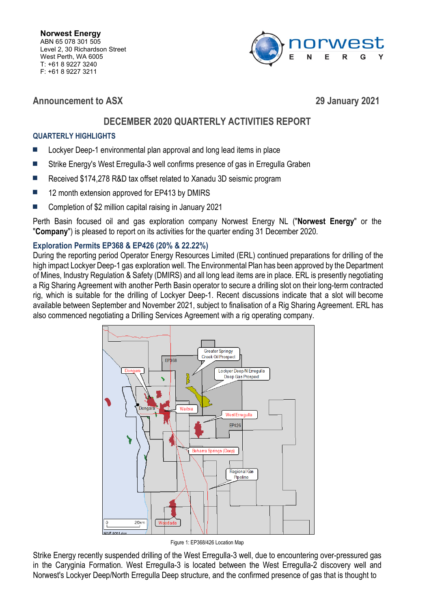

**Announcement to ASX 29 January 2021**

# **DECEMBER 2020 QUARTERLY ACTIVITIES REPORT**

# **QUARTERLY HIGHLIGHTS**

- Lockyer Deep-1 environmental plan approval and long lead items in place
- Strike Energy's West Erregulla-3 well confirms presence of gas in Erregulla Graben
- Received \$174,278 R&D tax offset related to Xanadu 3D seismic program
- 12 month extension approved for EP413 by DMIRS
- Completion of \$2 million capital raising in January 2021

Perth Basin focused oil and gas exploration company Norwest Energy NL ("**Norwest Energy**" or the "**Company**") is pleased to report on its activities for the quarter ending 31 December 2020.

# **Exploration Permits EP368 & EP426 (20% & 22.22%)**

During the reporting period Operator Energy Resources Limited (ERL) continued preparations for drilling of the high impact Lockyer Deep-1 gas exploration well. The Environmental Plan has been approved by the Department of Mines, Industry Regulation & Safety (DMIRS) and all long lead items are in place. ERL is presently negotiating a Rig Sharing Agreement with another Perth Basin operator to secure a drilling slot on their long-term contracted rig, which is suitable for the drilling of Lockyer Deep-1. Recent discussions indicate that a slot will become available between September and November 2021, subject to finalisation of a Rig Sharing Agreement. ERL has also commenced negotiating a Drilling Services Agreement with a rig operating company.



Figure 1: EP368/426 Location Map

Strike Energy recently suspended drilling of the West Erregulla-3 well, due to encountering over-pressured gas in the Caryginia Formation. West Erregulla-3 is located between the West Erregulla-2 discovery well and Norwest's Lockyer Deep/North Erregulla Deep structure, and the confirmed presence of gas that is thought to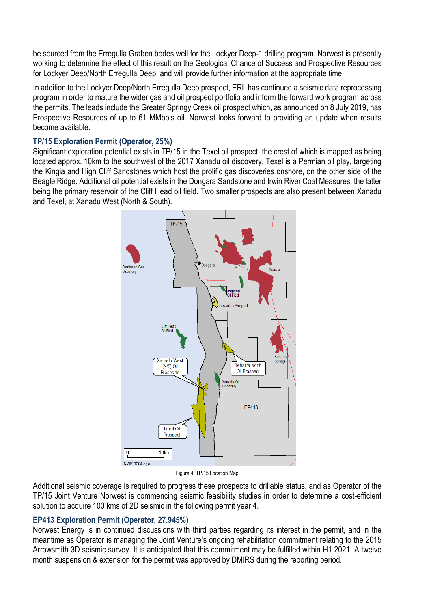be sourced from the Erregulla Graben bodes well for the Lockyer Deep-1 drilling program. Norwest is presently working to determine the effect of this result on the Geological Chance of Success and Prospective Resources for Lockyer Deep/North Erregulla Deep, and will provide further information at the appropriate time.

In addition to the Lockyer Deep/North Erregulla Deep prospect, ERL has continued a seismic data reprocessing program in order to mature the wider gas and oil prospect portfolio and inform the forward work program across the permits. The leads include the Greater Springy Creek oil prospect which, as announced on 8 July 2019, has Prospective Resources of up to 61 MMbbls oil. Norwest looks forward to providing an update when results become available.

# **TP/15 Exploration Permit (Operator, 25%)**

Significant exploration potential exists in TP/15 in the Texel oil prospect, the crest of which is mapped as being located approx. 10km to the southwest of the 2017 Xanadu oil discovery. Texel is a Permian oil play, targeting the Kingia and High Cliff Sandstones which host the prolific gas discoveries onshore, on the other side of the Beagle Ridge. Additional oil potential exists in the Dongara Sandstone and Irwin River Coal Measures, the latter being the primary reservoir of the Cliff Head oil field. Two smaller prospects are also present between Xanadu and Texel, at Xanadu West (North & South).



Figure 4: TP/15 Location Map

Additional seismic coverage is required to progress these prospects to drillable status, and as Operator of the TP/15 Joint Venture Norwest is commencing seismic feasibility studies in order to determine a cost-efficient solution to acquire 100 kms of 2D seismic in the following permit year 4.

## **EP413 Exploration Permit (Operator, 27.945%)**

Norwest Energy is in continued discussions with third parties regarding its interest in the permit, and in the meantime as Operator is managing the Joint Venture's ongoing rehabilitation commitment relating to the 2015 Arrowsmith 3D seismic survey. It is anticipated that this commitment may be fulfilled within H1 2021. A twelve month suspension & extension for the permit was approved by DMIRS during the reporting period.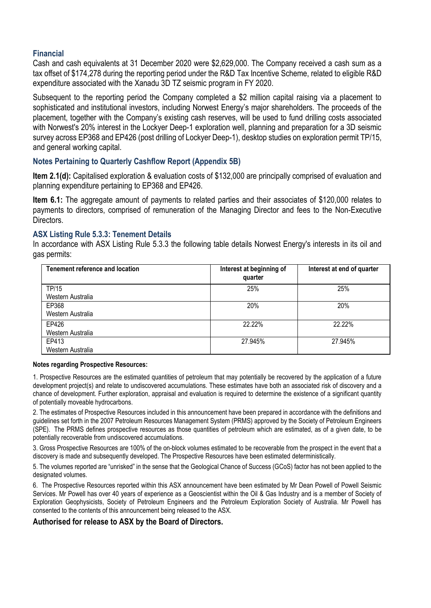### **Financial**

Cash and cash equivalents at 31 December 2020 were \$2,629,000. The Company received a cash sum as a tax offset of \$174,278 during the reporting period under the R&D Tax Incentive Scheme, related to eligible R&D expenditure associated with the Xanadu 3D TZ seismic program in FY 2020.

Subsequent to the reporting period the Company completed a \$2 million capital raising via a placement to sophisticated and institutional investors, including Norwest Energy's major shareholders. The proceeds of the placement, together with the Company's existing cash reserves, will be used to fund drilling costs associated with Norwest's 20% interest in the Lockyer Deep-1 exploration well, planning and preparation for a 3D seismic survey across EP368 and EP426 (post drilling of Lockyer Deep-1), desktop studies on exploration permit TP/15, and general working capital.

#### **Notes Pertaining to Quarterly Cashflow Report (Appendix 5B)**

**Item 2.1(d):** Capitalised exploration & evaluation costs of \$132,000 are principally comprised of evaluation and planning expenditure pertaining to EP368 and EP426.

**Item 6.1:** The aggregate amount of payments to related parties and their associates of \$120,000 relates to payments to directors, comprised of remuneration of the Managing Director and fees to the Non-Executive Directors.

#### **ASX Listing Rule 5.3.3: Tenement Details**

In accordance with ASX Listing Rule 5.3.3 the following table details Norwest Energy's interests in its oil and gas permits:

| <b>Tenement reference and location</b> | Interest at beginning of<br>quarter | Interest at end of quarter |
|----------------------------------------|-------------------------------------|----------------------------|
| <b>TP/15</b>                           | 25%                                 | 25%                        |
| Western Australia                      |                                     |                            |
| EP368                                  | 20%                                 | 20%                        |
| Western Australia                      |                                     |                            |
| EP426                                  | 22.22%                              | 22.22%                     |
| Western Australia                      |                                     |                            |
| EP413                                  | 27.945%                             | 27.945%                    |
| Western Australia                      |                                     |                            |

#### **Notes regarding Prospective Resources:**

1. Prospective Resources are the estimated quantities of petroleum that may potentially be recovered by the application of a future development project(s) and relate to undiscovered accumulations. These estimates have both an associated risk of discovery and a chance of development. Further exploration, appraisal and evaluation is required to determine the existence of a significant quantity of potentially moveable hydrocarbons.

2. The estimates of Prospective Resources included in this announcement have been prepared in accordance with the definitions and guidelines set forth in the 2007 Petroleum Resources Management System (PRMS) approved by the Society of Petroleum Engineers (SPE). The PRMS defines prospective resources as those quantities of petroleum which are estimated, as of a given date, to be potentially recoverable from undiscovered accumulations.

3. Gross Prospective Resources are 100% of the on-block volumes estimated to be recoverable from the prospect in the event that a discovery is made and subsequently developed. The Prospective Resources have been estimated deterministically.

5. The volumes reported are "unrisked" in the sense that the Geological Chance of Success (GCoS) factor has not been applied to the designated volumes.

6. The Prospective Resources reported within this ASX announcement have been estimated by Mr Dean Powell of Powell Seismic Services. Mr Powell has over 40 years of experience as a Geoscientist within the Oil & Gas Industry and is a member of Society of Exploration Geophysicists, Society of Petroleum Engineers and the Petroleum Exploration Society of Australia. Mr Powell has consented to the contents of this announcement being released to the ASX.

#### **Authorised for release to ASX by the Board of Directors.**